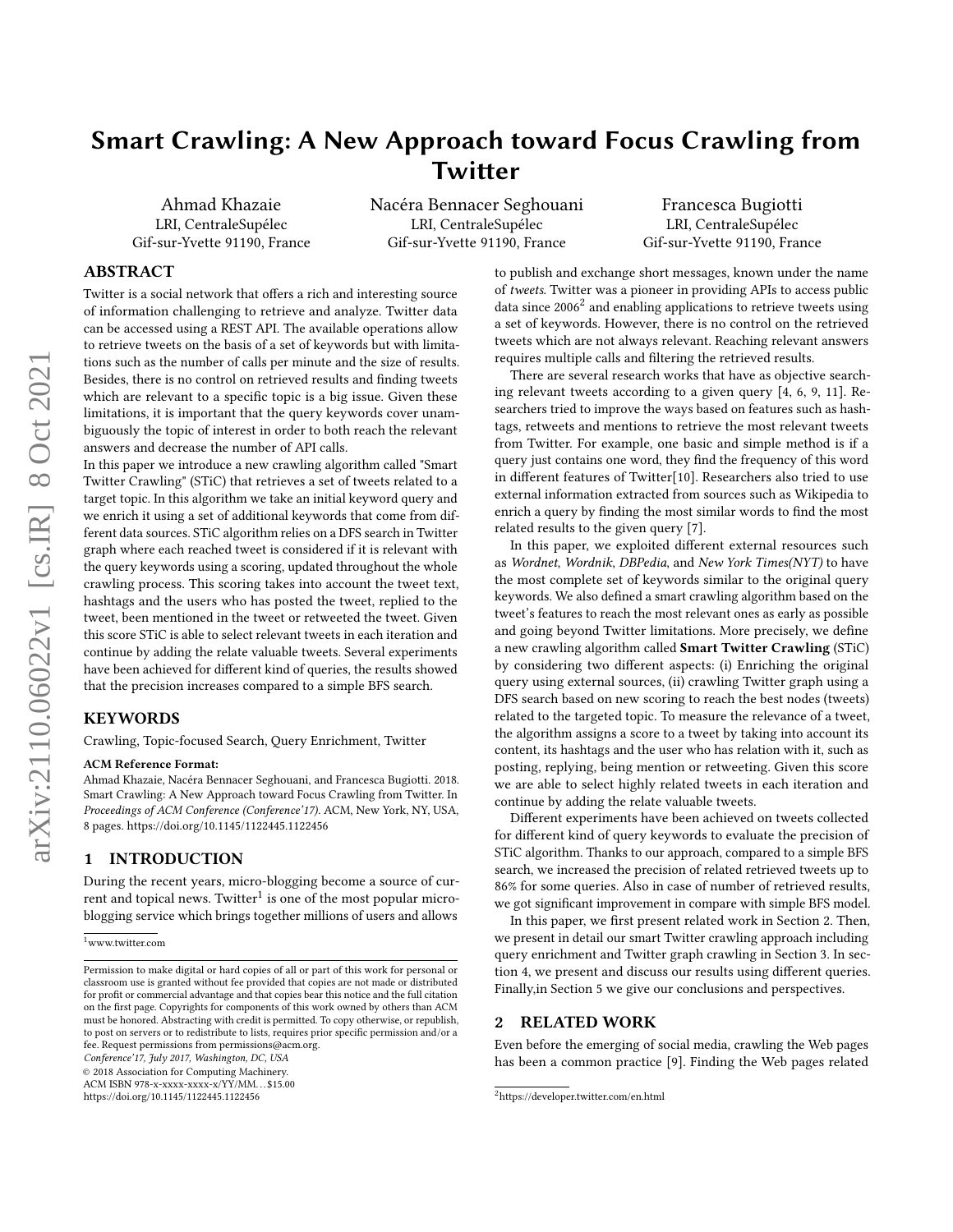# Smart Crawling: A New Approach toward Focus Crawling from Twitter

Ahmad Khazaie LRI, CentraleSupélec Gif-sur-Yvette 91190, France Nacéra Bennacer Seghouani LRI, CentraleSupélec Gif-sur-Yvette 91190, France

Francesca Bugiotti LRI, CentraleSupélec Gif-sur-Yvette 91190, France

# ABSTRACT

Twitter is a social network that offers a rich and interesting source of information challenging to retrieve and analyze. Twitter data can be accessed using a REST API. The available operations allow to retrieve tweets on the basis of a set of keywords but with limitations such as the number of calls per minute and the size of results. Besides, there is no control on retrieved results and finding tweets which are relevant to a specific topic is a big issue. Given these limitations, it is important that the query keywords cover unambiguously the topic of interest in order to both reach the relevant answers and decrease the number of API calls.

In this paper we introduce a new crawling algorithm called "Smart Twitter Crawling" (STiC) that retrieves a set of tweets related to a target topic. In this algorithm we take an initial keyword query and we enrich it using a set of additional keywords that come from different data sources. STiC algorithm relies on a DFS search in Twitter graph where each reached tweet is considered if it is relevant with the query keywords using a scoring, updated throughout the whole crawling process. This scoring takes into account the tweet text, hashtags and the users who has posted the tweet, replied to the tweet, been mentioned in the tweet or retweeted the tweet. Given this score STiC is able to select relevant tweets in each iteration and continue by adding the relate valuable tweets. Several experiments have been achieved for different kind of queries, the results showed that the precision increases compared to a simple BFS search.

### KEYWORDS

Crawling, Topic-focused Search, Query Enrichment, Twitter

#### ACM Reference Format:

Ahmad Khazaie, Nacéra Bennacer Seghouani, and Francesca Bugiotti. 2018. Smart Crawling: A New Approach toward Focus Crawling from Twitter. In Proceedings of ACM Conference (Conference'17). ACM, New York, NY, USA, [8](#page-7-0) pages.<https://doi.org/10.1145/1122445.1122456>

## 1 INTRODUCTION

During the recent years, micro-blogging become a source of cur- $\frac{1}{2}$  $\frac{1}{2}$  $\frac{1}{2}$  rent and topical news. Twitter<sup>1</sup> is one of the most popular microblogging service which brings together millions of users and allows

Conference'17, July 2017, Washington, DC, USA

© 2018 Association for Computing Machinery.

ACM ISBN 978-x-xxxx-xxxx-x/YY/MM. . . \$15.00

<https://doi.org/10.1145/1122445.1122456>

to publish and exchange short messages, known under the name of tweets. Twitter was a pioneer in providing APIs to access public  $\frac{1}{2}$  $\frac{1}{2}$  $\frac{1}{2}$  data since 2006<sup>2</sup> and enabling applications to retrieve tweets using a set of keywords. However, there is no control on the retrieved tweets which are not always relevant. Reaching relevant answers requires multiple calls and filtering the retrieved results.

There are several research works that have as objective searching relevant tweets according to a given query [\[4,](#page-6-0) [6,](#page-6-1) [9,](#page-6-2) [11\]](#page-6-3). Researchers tried to improve the ways based on features such as hashtags, retweets and mentions to retrieve the most relevant tweets from Twitter. For example, one basic and simple method is if a query just contains one word, they find the frequency of this word in different features of Twitter[\[10\]](#page-6-4). Researchers also tried to use external information extracted from sources such as Wikipedia to enrich a query by finding the most similar words to find the most related results to the given query [\[7\]](#page-6-5).

In this paper, we exploited different external resources such as Wordnet, Wordnik, DBPedia, and New York Times(NYT) to have the most complete set of keywords similar to the original query keywords. We also defined a smart crawling algorithm based on the tweet's features to reach the most relevant ones as early as possible and going beyond Twitter limitations. More precisely, we define a new crawling algorithm called Smart Twitter Crawling (STiC) by considering two different aspects: (i) Enriching the original query using external sources, (ii) crawling Twitter graph using a DFS search based on new scoring to reach the best nodes (tweets) related to the targeted topic. To measure the relevance of a tweet, the algorithm assigns a score to a tweet by taking into account its content, its hashtags and the user who has relation with it, such as posting, replying, being mention or retweeting. Given this score we are able to select highly related tweets in each iteration and continue by adding the relate valuable tweets.

Different experiments have been achieved on tweets collected for different kind of query keywords to evaluate the precision of STiC algorithm. Thanks to our approach, compared to a simple BFS search, we increased the precision of related retrieved tweets up to 86% for some queries. Also in case of number of retrieved results, we got significant improvement in compare with simple BFS model.

In this paper, we first present related work in Section [2.](#page-0-2) Then, we present in detail our smart Twitter crawling approach including query enrichment and Twitter graph crawling in Section [3.](#page-1-0) In section [4,](#page-4-0) we present and discuss our results using different queries. Finally,in Section [5](#page-6-6) we give our conclusions and perspectives.

### <span id="page-0-2"></span>2 RELATED WORK

Even before the emerging of social media, crawling the Web pages has been a common practice [\[9\]](#page-6-2). Finding the Web pages related

<span id="page-0-0"></span><sup>1</sup>www.twitter.com

Permission to make digital or hard copies of all or part of this work for personal or classroom use is granted without fee provided that copies are not made or distributed for profit or commercial advantage and that copies bear this notice and the full citation on the first page. Copyrights for components of this work owned by others than ACM must be honored. Abstracting with credit is permitted. To copy otherwise, or republish, to post on servers or to redistribute to lists, requires prior specific permission and/or a fee. Request permissions from permissions@acm.org.

<span id="page-0-1"></span><sup>2</sup>https://developer.twitter.com/en.html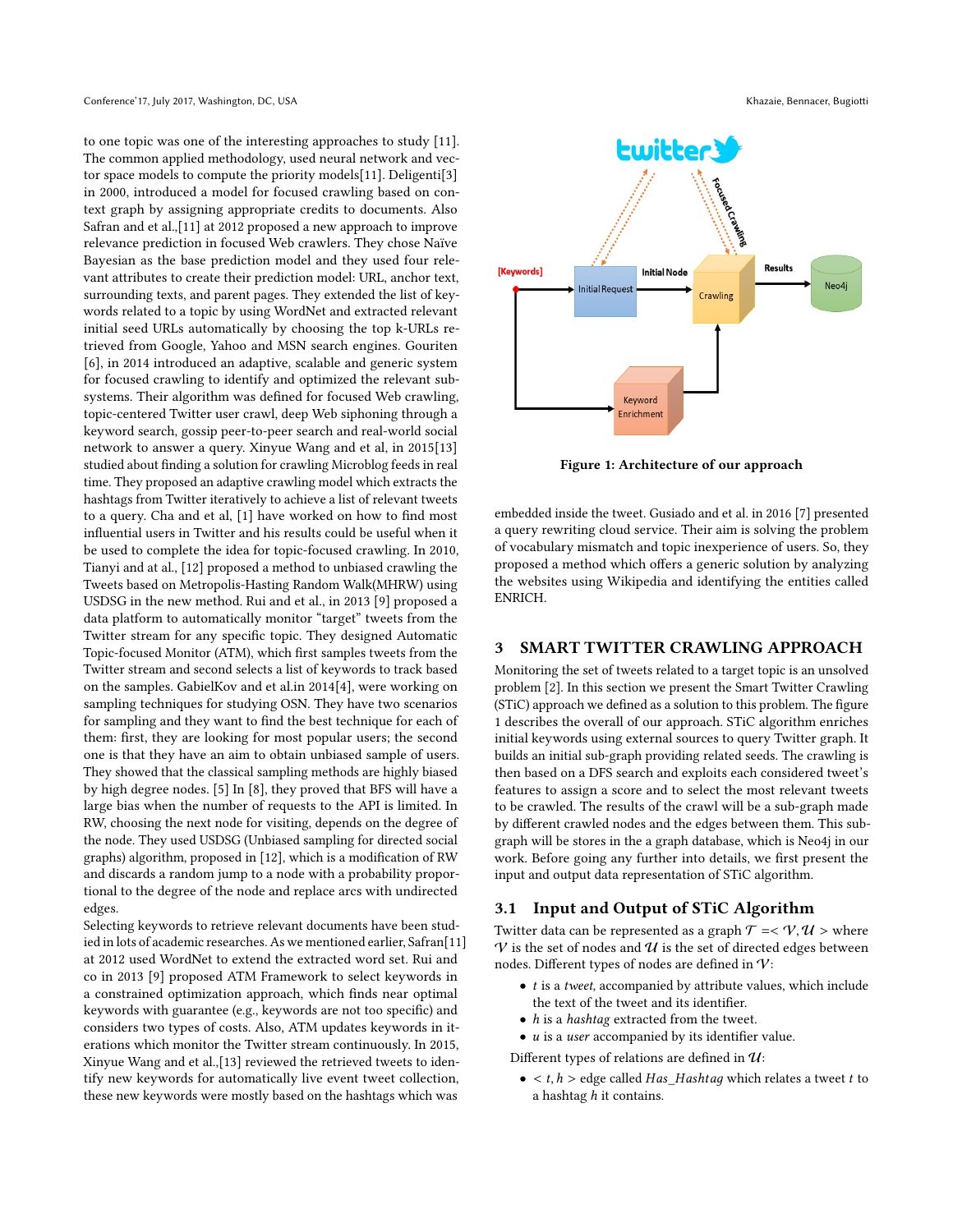to one topic was one of the interesting approaches to study [\[11\]](#page-6-3). The common applied methodology, used neural network and vector space models to compute the priority models[\[11\]](#page-6-3). Deligenti[\[3\]](#page-6-7) in 2000, introduced a model for focused crawling based on context graph by assigning appropriate credits to documents. Also Safran and et al.,[\[11\]](#page-6-3) at 2012 proposed a new approach to improve relevance prediction in focused Web crawlers. They chose Naïve Bayesian as the base prediction model and they used four relevant attributes to create their prediction model: URL, anchor text, surrounding texts, and parent pages. They extended the list of keywords related to a topic by using WordNet and extracted relevant initial seed URLs automatically by choosing the top k-URLs retrieved from Google, Yahoo and MSN search engines. Gouriten [\[6\]](#page-6-1), in 2014 introduced an adaptive, scalable and generic system for focused crawling to identify and optimized the relevant subsystems. Their algorithm was defined for focused Web crawling, topic-centered Twitter user crawl, deep Web siphoning through a keyword search, gossip peer-to-peer search and real-world social network to answer a query. Xinyue Wang and et al, in 2015[\[13\]](#page-7-1) studied about finding a solution for crawling Microblog feeds in real time. They proposed an adaptive crawling model which extracts the hashtags from Twitter iteratively to achieve a list of relevant tweets to a query. Cha and et al, [\[1\]](#page-6-8) have worked on how to find most influential users in Twitter and his results could be useful when it be used to complete the idea for topic-focused crawling. In 2010, Tianyi and at al., [\[12\]](#page-6-9) proposed a method to unbiased crawling the Tweets based on Metropolis-Hasting Random Walk(MHRW) using USDSG in the new method. Rui and et al., in 2013 [\[9\]](#page-6-2) proposed a data platform to automatically monitor "target" tweets from the Twitter stream for any specific topic. They designed Automatic Topic-focused Monitor (ATM), which first samples tweets from the Twitter stream and second selects a list of keywords to track based on the samples. GabielKov and et al.in 2014[\[4\]](#page-6-0), were working on sampling techniques for studying OSN. They have two scenarios for sampling and they want to find the best technique for each of them: first, they are looking for most popular users; the second one is that they have an aim to obtain unbiased sample of users. They showed that the classical sampling methods are highly biased by high degree nodes. [\[5\]](#page-6-10) In [\[8\]](#page-6-11), they proved that BFS will have a large bias when the number of requests to the API is limited. In RW, choosing the next node for visiting, depends on the degree of the node. They used USDSG (Unbiased sampling for directed social graphs) algorithm, proposed in [\[12\]](#page-6-9), which is a modification of RW and discards a random jump to a node with a probability proportional to the degree of the node and replace arcs with undirected edges.

Selecting keywords to retrieve relevant documents have been studied in lots of academic researches. As we mentioned earlier, Safran[\[11\]](#page-6-3) at 2012 used WordNet to extend the extracted word set. Rui and co in 2013 [\[9\]](#page-6-2) proposed ATM Framework to select keywords in a constrained optimization approach, which finds near optimal keywords with guarantee (e.g., keywords are not too specific) and considers two types of costs. Also, ATM updates keywords in iterations which monitor the Twitter stream continuously. In 2015, Xinyue Wang and et al.,[\[13\]](#page-7-1) reviewed the retrieved tweets to identify new keywords for automatically live event tweet collection, these new keywords were mostly based on the hashtags which was

<span id="page-1-1"></span>

Figure 1: Architecture of our approach

embedded inside the tweet. Gusiado and et al. in 2016 [\[7\]](#page-6-5) presented a query rewriting cloud service. Their aim is solving the problem of vocabulary mismatch and topic inexperience of users. So, they proposed a method which offers a generic solution by analyzing the websites using Wikipedia and identifying the entities called ENRICH.

# <span id="page-1-0"></span>3 SMART TWITTER CRAWLING APPROACH

Monitoring the set of tweets related to a target topic is an unsolved problem [\[2\]](#page-6-12). In this section we present the Smart Twitter Crawling (STiC) approach we defined as a solution to this problem. The figure [1](#page-1-1) describes the overall of our approach. STiC algorithm enriches initial keywords using external sources to query Twitter graph. It builds an initial sub-graph providing related seeds. The crawling is then based on a DFS search and exploits each considered tweet's features to assign a score and to select the most relevant tweets to be crawled. The results of the crawl will be a sub-graph made by different crawled nodes and the edges between them. This subgraph will be stores in the a graph database, which is Neo4j in our work. Before going any further into details, we first present the input and output data representation of STiC algorithm.

### 3.1 Input and Output of STiC Algorithm

Twitter data can be represented as a graph  $\mathcal{T} = \langle \mathcal{V}, \mathcal{U} \rangle$  where  $V$  is the set of nodes and  $U$  is the set of directed edges between nodes. Different types of nodes are defined in V:

- $\bullet$  *t* is a *tweet*, accompanied by attribute values, which include the text of the tweet and its identifier.
- $\bullet$  *h* is a *hashtag* extracted from the tweet.
- $\bullet\;$   $u$  is a  $user$  accompanied by its identifier value.

Different types of relations are defined in  $\mathcal{U}$ :

 $\bullet < t, h >$  edge called  $Has\_Hashtag$  which relates a tweet t to a hashtag  $h$  it contains.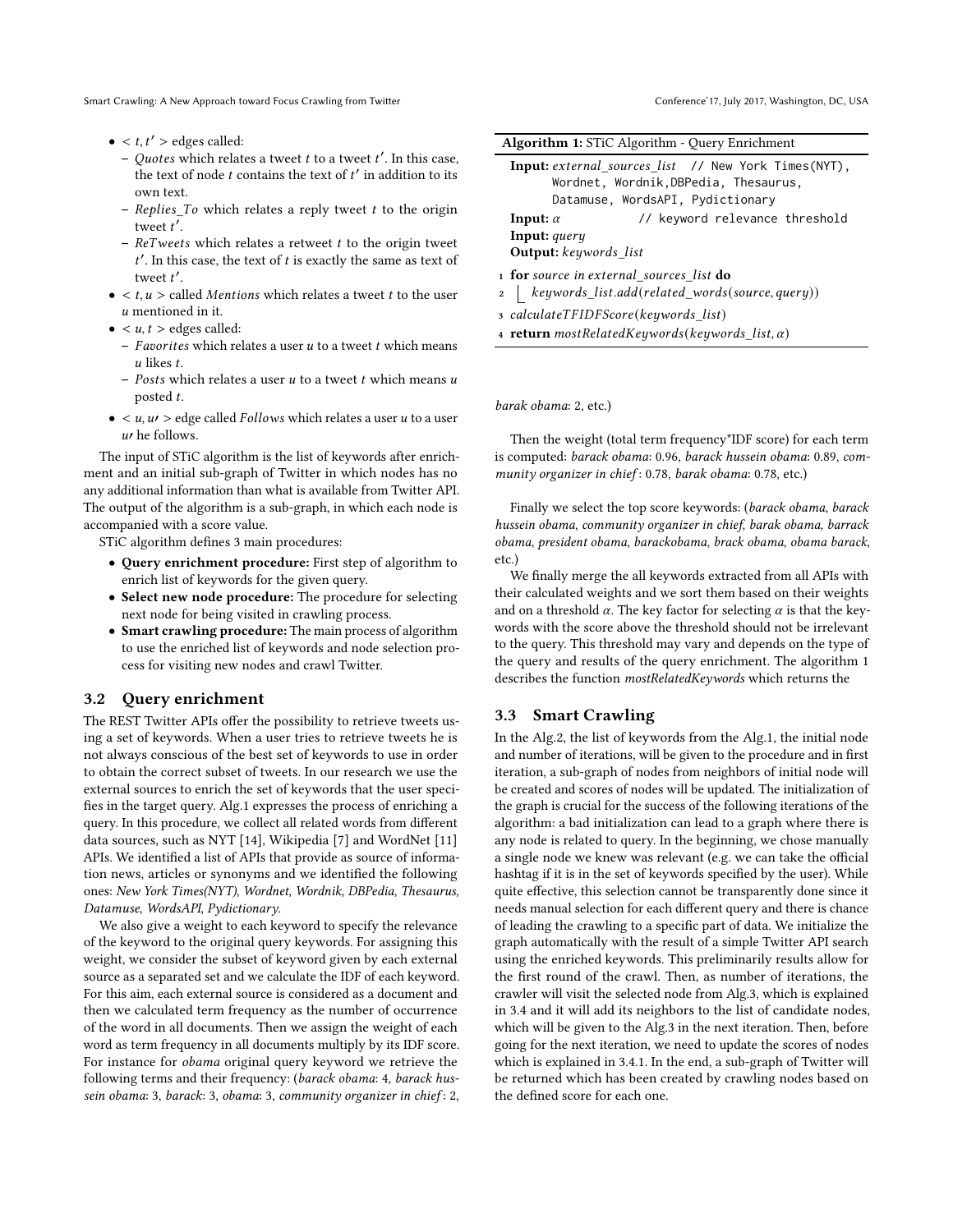Smart Crawling: A New Approach toward Focus Crawling from Twitter

- $\bullet < t, t' >$  edges called:
	- Quotes which relates a tweet  $t$  to a tweet  $t'$ . In this case, the text of node t contains the text of  $t'$  in addition to its own text.
	- $-$  Replies To which relates a reply tweet t to the origin tweet t'.
	- $ReTweets$  which relates a retweet  $t$  to the origin tweet  $t'$ . In this case, the text of  $t$  is exactly the same as text of tweet t'.
- $\bullet < t, u >$  called *Mentions* which relates a tweet t to the user u mentioned in it.
- $\bullet \lt u, t >$  edges called:
	- Favorites which relates a user  $u$  to a tweet  $t$  which means  $u$  likes  $t$ .
	- Posts which relates a user  $u$  to a tweet  $t$  which means  $u$ posted t.
- $\lt u, u \gt \text{edge called } Follows$  which relates a user  $u$  to a user  $u$  he follows.

The input of STiC algorithm is the list of keywords after enrichment and an initial sub-graph of Twitter in which nodes has no any additional information than what is available from Twitter API. The output of the algorithm is a sub-graph, in which each node is accompanied with a score value.

STiC algorithm defines 3 main procedures:

- Query enrichment procedure: First step of algorithm to enrich list of keywords for the given query.
- Select new node procedure: The procedure for selecting next node for being visited in crawling process.
- Smart crawling procedure: The main process of algorithm to use the enriched list of keywords and node selection process for visiting new nodes and crawl Twitter.

# 3.2 Query enrichment

The REST Twitter APIs offer the possibility to retrieve tweets using a set of keywords. When a user tries to retrieve tweets he is not always conscious of the best set of keywords to use in order to obtain the correct subset of tweets. In our research we use the external sources to enrich the set of keywords that the user specifies in the target query. Alg[.1](#page-2-0) expresses the process of enriching a query. In this procedure, we collect all related words from different data sources, such as NYT [\[14\]](#page-7-2), Wikipedia [\[7\]](#page-6-5) and WordNet [\[11\]](#page-6-3) APIs. We identified a list of APIs that provide as source of information news, articles or synonyms and we identified the following ones: New York Times(NYT), Wordnet, Wordnik, DBPedia, Thesaurus, Datamuse, WordsAPI, Pydictionary.

We also give a weight to each keyword to specify the relevance of the keyword to the original query keywords. For assigning this weight, we consider the subset of keyword given by each external source as a separated set and we calculate the IDF of each keyword. For this aim, each external source is considered as a document and then we calculated term frequency as the number of occurrence of the word in all documents. Then we assign the weight of each word as term frequency in all documents multiply by its IDF score. For instance for obama original query keyword we retrieve the following terms and their frequency: (barack obama: 4, barack hussein obama: 3, barack: 3, obama: 3, community organizer in chief: 2,

|  |  |  | Conference' 17, July 2017, Washington, DC, USA |  |  |
|--|--|--|------------------------------------------------|--|--|
|--|--|--|------------------------------------------------|--|--|

<span id="page-2-0"></span>

| <b>Algorithm 1:</b> STiC Algorithm - Query Enrichment                                                                                                                                                    |  |  |  |  |
|----------------------------------------------------------------------------------------------------------------------------------------------------------------------------------------------------------|--|--|--|--|
| <b>Input:</b> external sources list // New York Times(NYT),<br>Wordnet, Wordnik, DBPedia, Thesaurus,<br>Datamuse, WordsAPI, Pydictionary                                                                 |  |  |  |  |
| // keyword relevance threshold<br>Input: $\alpha$<br>Input: query<br><b>Output:</b> keywords list                                                                                                        |  |  |  |  |
| 1 for source in external sources list do<br>2   keywords_list.add(related_words(source, query))<br>3 calculateTFIDFScore(keywords list)<br><b>4 return</b> mostRelatedKeywords(keywords list, $\alpha$ ) |  |  |  |  |

barak obama: 2, etc.)

Then the weight (total term frequency\*IDF score) for each term is computed: barack obama: 0.96, barack hussein obama: 0.89, community organizer in chief: 0.78, barak obama: 0.78, etc.)

Finally we select the top score keywords: (barack obama, barack hussein obama, community organizer in chief, barak obama, barrack obama, president obama, barackobama, brack obama, obama barack, etc.)

We finally merge the all keywords extracted from all APIs with their calculated weights and we sort them based on their weights and on a threshold  $\alpha$ . The key factor for selecting  $\alpha$  is that the keywords with the score above the threshold should not be irrelevant to the query. This threshold may vary and depends on the type of the query and results of the query enrichment. The algorithm [1](#page-2-0) describes the function mostRelatedKeywords which returns the

# 3.3 Smart Crawling

In the Alg[.2,](#page-3-0) the list of keywords from the Alg[.1,](#page-2-0) the initial node and number of iterations, will be given to the procedure and in first iteration, a sub-graph of nodes from neighbors of initial node will be created and scores of nodes will be updated. The initialization of the graph is crucial for the success of the following iterations of the algorithm: a bad initialization can lead to a graph where there is any node is related to query. In the beginning, we chose manually a single node we knew was relevant (e.g. we can take the official hashtag if it is in the set of keywords specified by the user). While quite effective, this selection cannot be transparently done since it needs manual selection for each different query and there is chance of leading the crawling to a specific part of data. We initialize the graph automatically with the result of a simple Twitter API search using the enriched keywords. This preliminarily results allow for the first round of the crawl. Then, as number of iterations, the crawler will visit the selected node from Alg[.3,](#page-4-1) which is explained in [3.4](#page-3-1) and it will add its neighbors to the list of candidate nodes, which will be given to the Alg[.3](#page-4-1) in the next iteration. Then, before going for the next iteration, we need to update the scores of nodes which is explained in [3.4.1.](#page-3-2) In the end, a sub-graph of Twitter will be returned which has been created by crawling nodes based on the defined score for each one.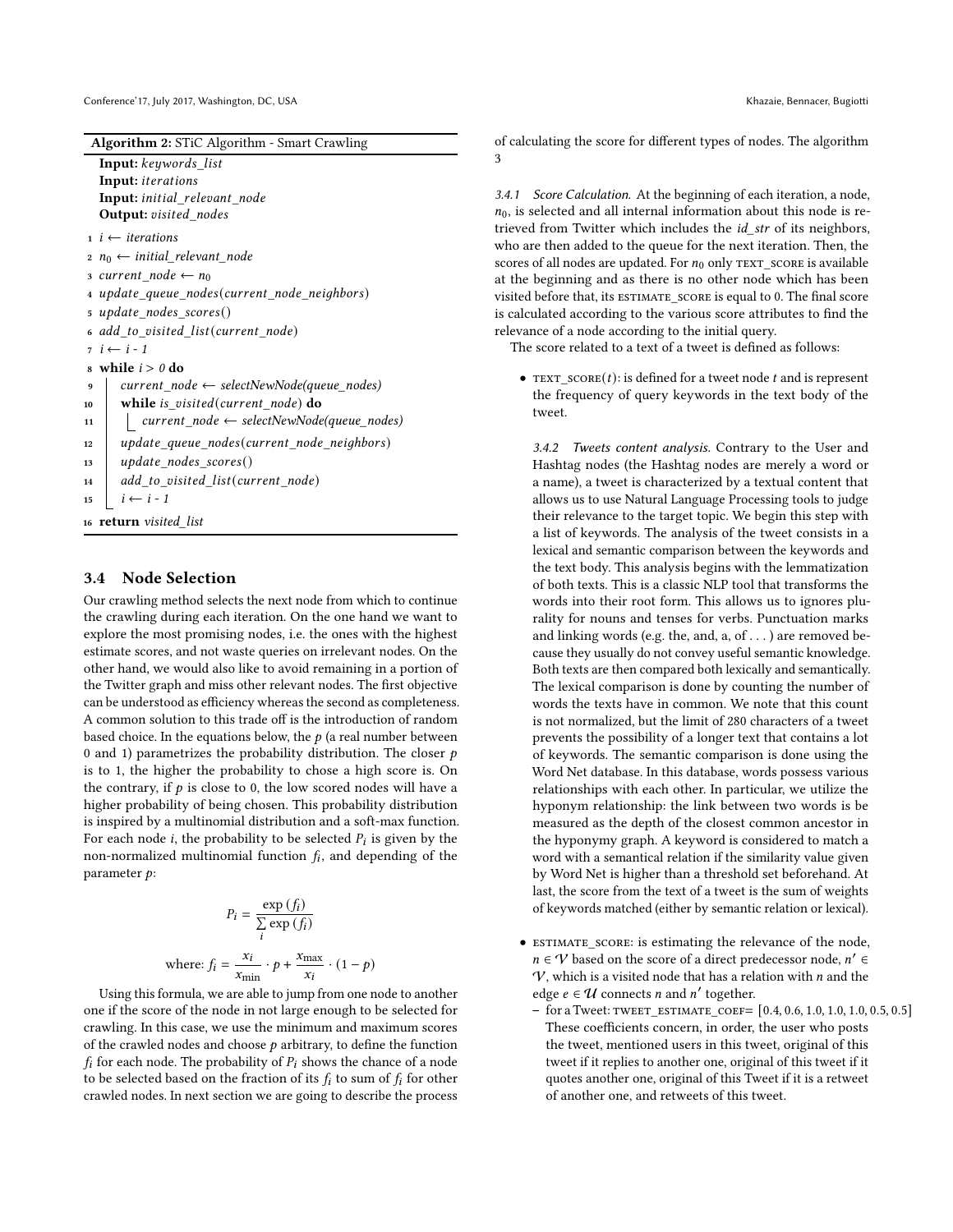| Algorithm 2: STiC Algorithm - Smart Crawling |  |  |
|----------------------------------------------|--|--|
|                                              |  |  |

<span id="page-3-0"></span>Input: keywords\_list Input: *iterations* Input: initial\_relevant\_node Output: visited\_nodes

 $i \leftarrow$  iterations

- $2 n_0 \leftarrow initial\_relevant\_node$
- 3  $current\_node \leftarrow n_0$
- 4 update\_queue\_nodes(current\_node\_neighbors)
- 5 update nodes scores()

```
6 add_to_visited_list(current_node)
```
 $7 \quad i \leftarrow i - 1$ 

```
\textbf{s} while i > 0 do
```

```
9 current\_node \leftarrow selectNewNode(queue\_nodes)10 while is_visited(current_node) do
11 \vert current_node \leftarrow selectNewNode(queue_nodes)
```
12 | update\_queue\_nodes(current\_node\_neighbors)

```
13 | update_nodes_scores()
```

```
14 | add_to_visited_list(current_node)
```

```
15 i \leftarrow i - 1
```
<sup>16</sup> return visited\_list

#### <span id="page-3-1"></span>3.4 Node Selection

Our crawling method selects the next node from which to continue the crawling during each iteration. On the one hand we want to explore the most promising nodes, i.e. the ones with the highest estimate scores, and not waste queries on irrelevant nodes. On the other hand, we would also like to avoid remaining in a portion of the Twitter graph and miss other relevant nodes. The first objective can be understood as efficiency whereas the second as completeness. A common solution to this trade off is the introduction of random based choice. In the equations below, the  $p$  (a real number between 0 and 1) parametrizes the probability distribution. The closer  $p$ is to 1, the higher the probability to chose a high score is. On the contrary, if  $p$  is close to 0, the low scored nodes will have a higher probability of being chosen. This probability distribution is inspired by a multinomial distribution and a soft-max function. For each node *i*, the probability to be selected  $P_i$  is given by the non-normalized multinomial function  $f_i$ , and depending of the parameter  $p$ :

$$
P_i = \frac{\exp\left(f_i\right)}{\sum\limits_{i} \exp\left(f_i\right)}
$$
  
where: 
$$
f_i = \frac{x_i}{x_{\min}} \cdot p + \frac{x_{\max}}{x_i} \cdot (1 - p)
$$

Using this formula, we are able to jump from one node to another one if the score of the node in not large enough to be selected for crawling. In this case, we use the minimum and maximum scores of the crawled nodes and choose  $p$  arbitrary, to define the function  $f_i$  for each node. The probability of  $P_i$  shows the chance of a node to be selected based on the fraction of its  $f_i$  to sum of  $f_i$  for other crawled nodes. In next section we are going to describe the process of calculating the score for different types of nodes. The algorithm [3](#page-4-1)

<span id="page-3-2"></span>3.4.1 Score Calculation. At the beginning of each iteration, a node,  $n_0$ , is selected and all internal information about this node is retrieved from Twitter which includes the *id\_str* of its neighbors, who are then added to the queue for the next iteration. Then, the scores of all nodes are updated. For  $n_0$  only TEXT score is available at the beginning and as there is no other node which has been visited before that, its ESTIMATE\_SCORE is equal to 0. The final score is calculated according to the various score attributes to find the relevance of a node according to the initial query.

The score related to a text of a tweet is defined as follows:

• TEXT\_SCORE(t): is defined for a tweet node  $t$  and is represent the frequency of query keywords in the text body of the tweet.

3.4.2 Tweets content analysis. Contrary to the User and Hashtag nodes (the Hashtag nodes are merely a word or a name), a tweet is characterized by a textual content that allows us to use Natural Language Processing tools to judge their relevance to the target topic. We begin this step with a list of keywords. The analysis of the tweet consists in a lexical and semantic comparison between the keywords and the text body. This analysis begins with the lemmatization of both texts. This is a classic NLP tool that transforms the words into their root form. This allows us to ignores plurality for nouns and tenses for verbs. Punctuation marks and linking words (e.g. the, and, a, of . . . ) are removed because they usually do not convey useful semantic knowledge. Both texts are then compared both lexically and semantically. The lexical comparison is done by counting the number of words the texts have in common. We note that this count is not normalized, but the limit of 280 characters of a tweet prevents the possibility of a longer text that contains a lot of keywords. The semantic comparison is done using the Word Net database. In this database, words possess various relationships with each other. In particular, we utilize the hyponym relationship: the link between two words is be measured as the depth of the closest common ancestor in the hyponymy graph. A keyword is considered to match a word with a semantical relation if the similarity value given by Word Net is higher than a threshold set beforehand. At last, the score from the text of a tweet is the sum of weights of keywords matched (either by semantic relation or lexical).

- estimate\_score: is estimating the relevance of the node,  $n \in V$  based on the score of a direct predecessor node,  $n' \in$  $V$ , which is a visited node that has a relation with  $n$  and the edge  $e \in \mathcal{U}$  connects *n* and *n'* together.
	- $-$  for a Tweet: TWEET\_ESTIMATE\_COEF=  $[0.4, 0.6, 1.0, 1.0, 1.0, 0.5, 0.5]$ These coefficients concern, in order, the user who posts the tweet, mentioned users in this tweet, original of this tweet if it replies to another one, original of this tweet if it quotes another one, original of this Tweet if it is a retweet of another one, and retweets of this tweet.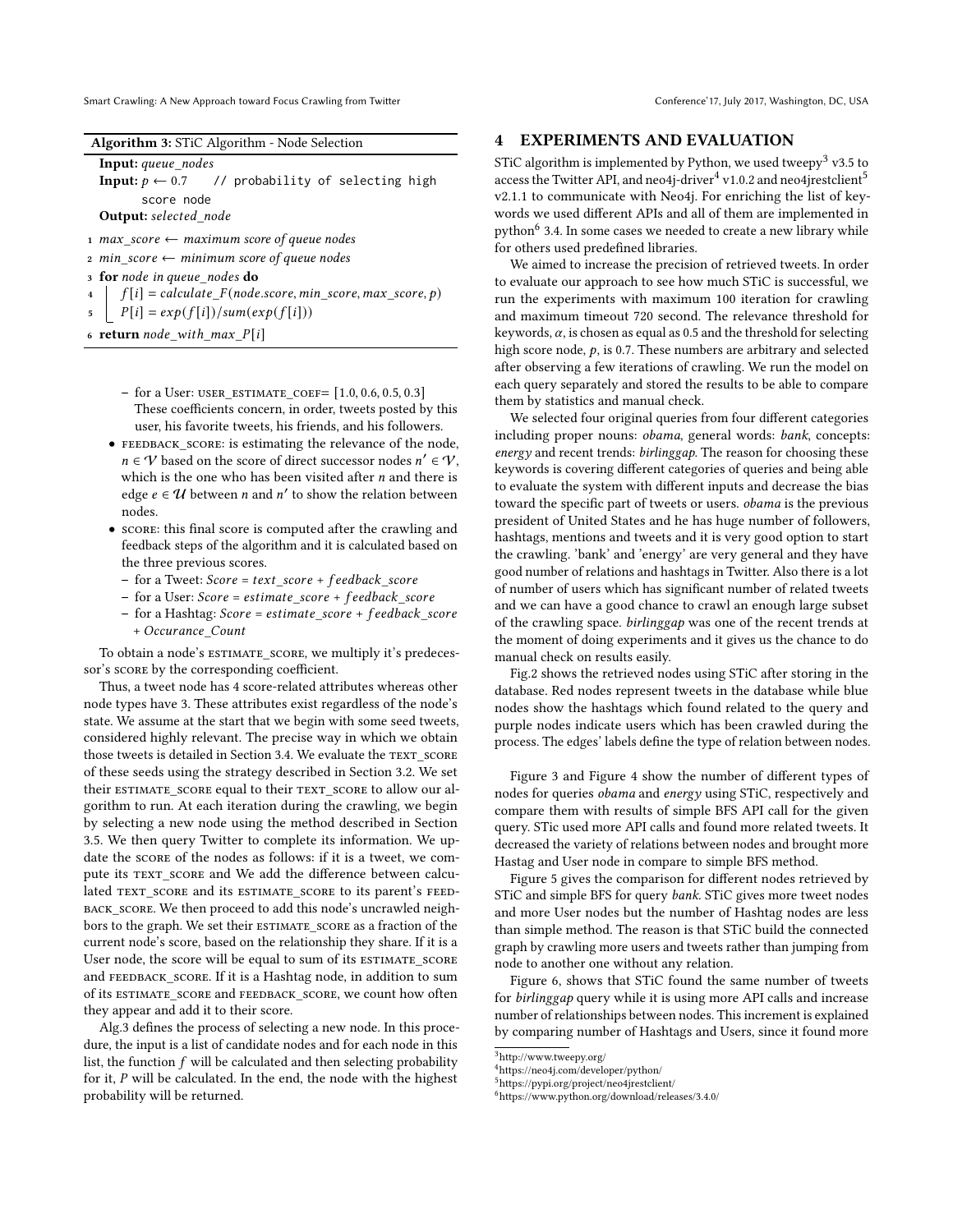Smart Crawling: A New Approach toward Focus Crawling from Twitter Conference' Conference' 17, July 2017, Washington, DC, USA

| Algorithm 3: STiC Algorithm - Node Selection |  |
|----------------------------------------------|--|
|                                              |  |

<span id="page-4-1"></span>Input: queue\_nodes

Input:  $p \leftarrow 0.7$  // probability of selecting high score node Output: selected node

- 1  $max\_score \leftarrow maximum score of queue nodes$
- 2  $min\_score \leftarrow minimum score of queue nodes$
- 3 for node in queue nodes do
- $f[i] = calculate_F(node_score, min_score, max_score, p)$
- $5 \mid P[i] = exp(f[i])/sum(exp(f[i]))$
- 6 return  $node\_with\_max\_P[i]$ 
	- $-$  for a User: user\_estimate\_coef=  $[1.0, 0.6, 0.5, 0.3]$ These coefficients concern, in order, tweets posted by this user, his favorite tweets, his friends, and his followers.
	- FEEDBACK SCORE: is estimating the relevance of the node,  $n \in V$  based on the score of direct successor nodes  $n' \in V$ , which is the one who has been visited after  $n$  and there is edge  $e \in U$  between *n* and *n'* to show the relation between nodes.
	- score: this final score is computed after the crawling and feedback steps of the algorithm and it is calculated based on the three previous scores.
		- $-$  for a Tweet:  $Score = text\_score + feedback\_score$
		- $-$  for a User: Score = estimate\_score +  $feedback\_score$
		- $-$  for a Hashtag: Score = estimate\_score +  $feedback\_score$ + Occurance\_Count

To obtain a node's ESTIMATE SCORE, we multiply it's predecessor's score by the corresponding coefficient.

Thus, a tweet node has 4 score-related attributes whereas other node types have 3. These attributes exist regardless of the node's state. We assume at the start that we begin with some seed tweets, considered highly relevant. The precise way in which we obtain those tweets is detailed in Section 3.4. We evaluate the TEXT SCORE of these seeds using the strategy described in Section 3.2. We set their ESTIMATE\_SCORE equal to their TEXT\_SCORE to allow our algorithm to run. At each iteration during the crawling, we begin by selecting a new node using the method described in Section 3.5. We then query Twitter to complete its information. We update the score of the nodes as follows: if it is a tweet, we compute its TEXT\_SCORE and We add the difference between calculated TEXT SCORE and its ESTIMATE SCORE to its parent's FEEDback\_score. We then proceed to add this node's uncrawled neighbors to the graph. We set their ESTIMATE\_SCORE as a fraction of the current node's score, based on the relationship they share. If it is a User node, the score will be equal to sum of its ESTIMATE\_SCORE and FEEDBACK\_SCORE. If it is a Hashtag node, in addition to sum of its estimate\_score and feedback\_score, we count how often they appear and add it to their score.

Alg[.3](#page-4-1) defines the process of selecting a new node. In this procedure, the input is a list of candidate nodes and for each node in this list, the function  $f$  will be calculated and then selecting probability for it,  $P$  will be calculated. In the end, the node with the highest probability will be returned.

#### <span id="page-4-0"></span>4 EXPERIMENTS AND EVALUATION

STiC algorithm is implemented by Python, we used tweepy<sup>[3](#page-4-2)</sup> v3.5 to access the Twitter API, and neo[4](#page-4-3)j-driver $4$  v1.0.2 and neo4jrestclient<sup>[5](#page-4-4)</sup> v2.1.1 to communicate with Neo4j. For enriching the list of keywords we used different APIs and all of them are implemented in python<sup>[6](#page-4-5)</sup> 3.4. In some cases we needed to create a new library while for others used predefined libraries.

We aimed to increase the precision of retrieved tweets. In order to evaluate our approach to see how much STiC is successful, we run the experiments with maximum 100 iteration for crawling and maximum timeout 720 second. The relevance threshold for keywords,  $\alpha$ , is chosen as equal as 0.5 and the threshold for selecting high score node,  $p$ , is 0.7. These numbers are arbitrary and selected after observing a few iterations of crawling. We run the model on each query separately and stored the results to be able to compare them by statistics and manual check.

We selected four original queries from four different categories including proper nouns: obama, general words: bank, concepts: energy and recent trends: birlinggap. The reason for choosing these keywords is covering different categories of queries and being able to evaluate the system with different inputs and decrease the bias toward the specific part of tweets or users. obama is the previous president of United States and he has huge number of followers, hashtags, mentions and tweets and it is very good option to start the crawling. 'bank' and 'energy' are very general and they have good number of relations and hashtags in Twitter. Also there is a lot of number of users which has significant number of related tweets and we can have a good chance to crawl an enough large subset of the crawling space. birlinggap was one of the recent trends at the moment of doing experiments and it gives us the chance to do manual check on results easily.

Fig[.2](#page-5-0) shows the retrieved nodes using STiC after storing in the database. Red nodes represent tweets in the database while blue nodes show the hashtags which found related to the query and purple nodes indicate users which has been crawled during the process. The edges' labels define the type of relation between nodes.

Figure [3](#page-5-1) and Figure [4](#page-5-2) show the number of different types of nodes for queries obama and energy using STiC, respectively and compare them with results of simple BFS API call for the given query. STic used more API calls and found more related tweets. It decreased the variety of relations between nodes and brought more Hastag and User node in compare to simple BFS method.

Figure [5](#page-5-3) gives the comparison for different nodes retrieved by STiC and simple BFS for query bank. STiC gives more tweet nodes and more User nodes but the number of Hashtag nodes are less than simple method. The reason is that STiC build the connected graph by crawling more users and tweets rather than jumping from node to another one without any relation.

Figure [6,](#page-5-4) shows that STiC found the same number of tweets for birlinggap query while it is using more API calls and increase number of relationships between nodes. This increment is explained by comparing number of Hashtags and Users, since it found more

<span id="page-4-2"></span><sup>3</sup>http://www.tweepy.org/

<span id="page-4-3"></span><sup>4</sup>https://neo4j.com/developer/python/

<span id="page-4-4"></span><sup>5</sup>https://pypi.org/project/neo4jrestclient/

<span id="page-4-5"></span><sup>6</sup>https://www.python.org/download/releases/3.4.0/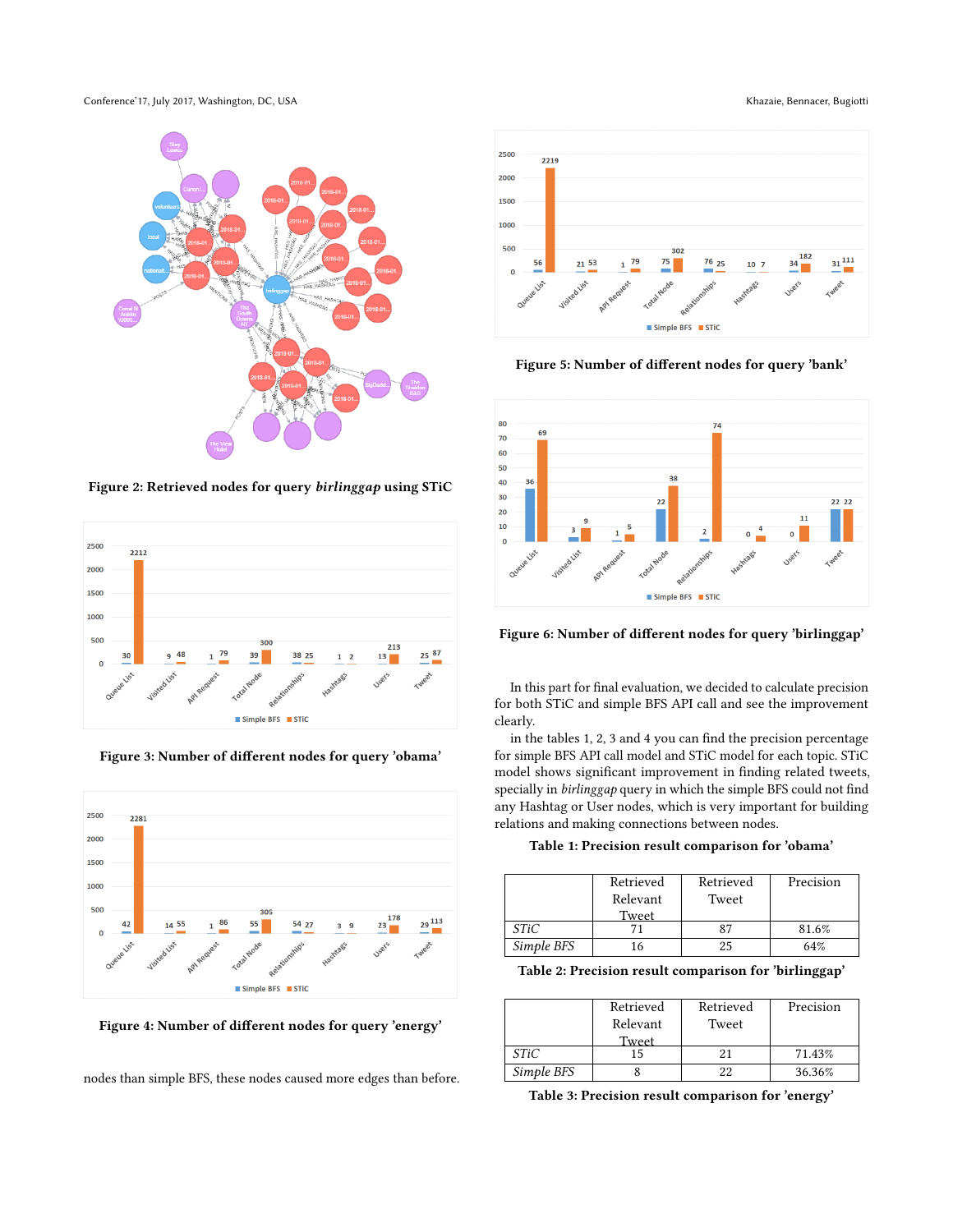Conference'17, July 2017, Washington, DC, USA Khazaie, Bennacer, Bugiotti et al. 2017, Washington, DC, USA Khazaie, Bennacer, Bugiotti et al. 2017, Washington, DC, USA Sensus et al. 2017, Washington, DC, USA Sensus et al.

<span id="page-5-0"></span>

Figure 2: Retrieved nodes for query birlinggap using STiC

<span id="page-5-1"></span>

Figure 3: Number of different nodes for query 'obama'

<span id="page-5-2"></span>

Figure 4: Number of different nodes for query 'energy'

nodes than simple BFS, these nodes caused more edges than before.

<span id="page-5-3"></span>

Figure 5: Number of different nodes for query 'bank'

<span id="page-5-4"></span>

Figure 6: Number of different nodes for query 'birlinggap'

In this part for final evaluation, we decided to calculate precision for both STiC and simple BFS API call and see the improvement clearly.

in the tables [1,](#page-5-5) [2,](#page-5-6) [3](#page-5-7) and [4](#page-6-13) you can find the precision percentage for simple BFS API call model and STiC model for each topic. STiC model shows significant improvement in finding related tweets, specially in birlinggap query in which the simple BFS could not find any Hashtag or User nodes, which is very important for building relations and making connections between nodes.

<span id="page-5-5"></span>Table 1: Precision result comparison for 'obama'

|             | Retrieved<br>Relevant | Retrieved<br>Tweet | Precision |
|-------------|-----------------------|--------------------|-----------|
|             | Tweet                 |                    |           |
| <i>STiC</i> |                       |                    | 81.6%     |
| Simple BFS  |                       | 25                 | 64%       |

<span id="page-5-6"></span>Table 2: Precision result comparison for 'birlinggap'

|            | Retrieved<br>Relevant | Retrieved<br>Tweet | Precision |
|------------|-----------------------|--------------------|-----------|
| STiC       | Tweet                 |                    | 71.43%    |
| Simple BFS |                       |                    | 36.36%    |

<span id="page-5-7"></span>Table 3: Precision result comparison for 'energy'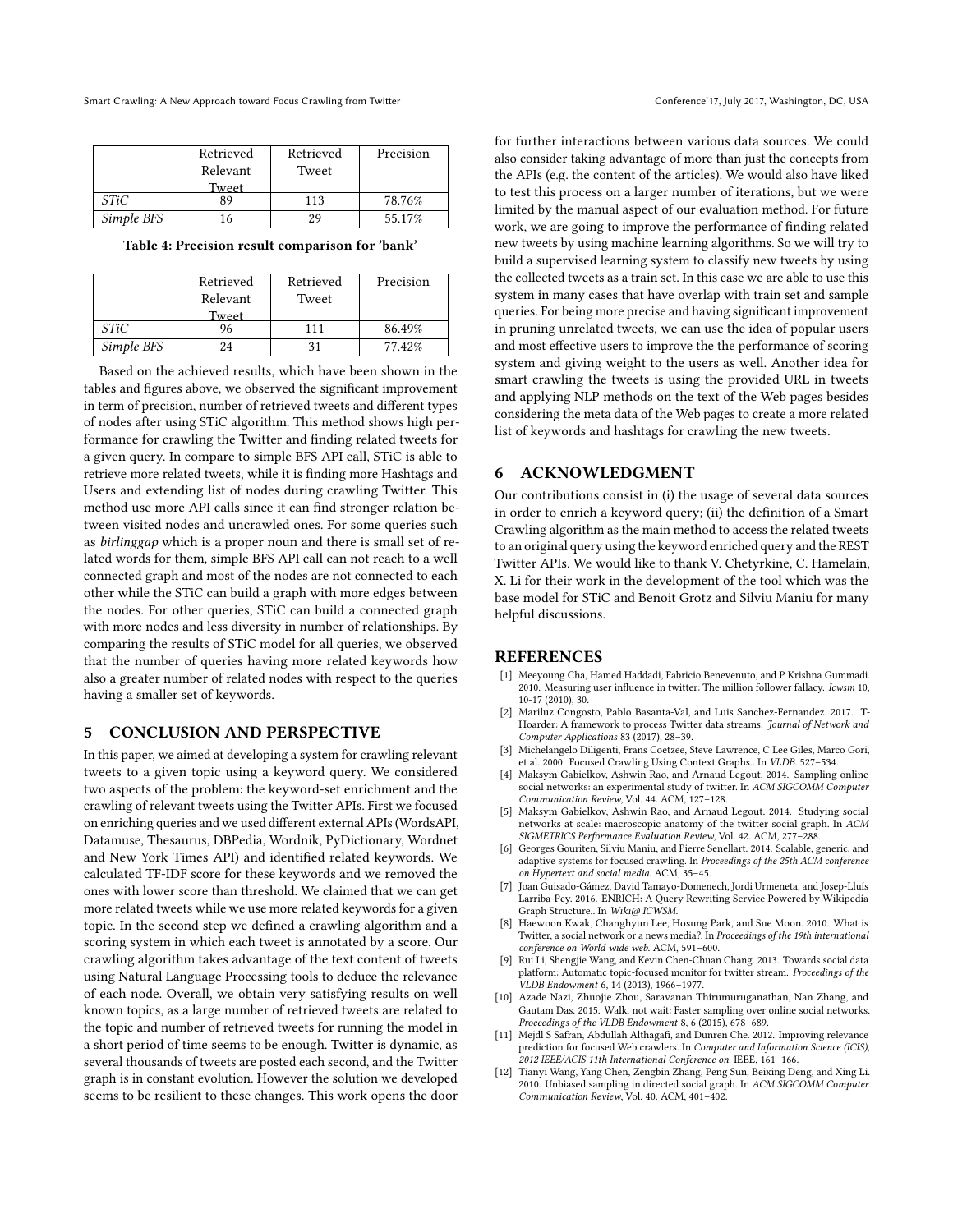|            | Retrieved | Retrieved | Precision |
|------------|-----------|-----------|-----------|
|            | Relevant  | Tweet     |           |
|            | Tweet     |           |           |
| STiC       | 89        | 113       | 78.76%    |
| Simple BFS | 16        | 29        | 55.17%    |

<span id="page-6-13"></span>Table 4: Precision result comparison for 'bank'

|            | Retrieved<br>Relevant<br>Tweet | Retrieved<br>Tweet | Precision |
|------------|--------------------------------|--------------------|-----------|
| STiC       | 96                             | 111                | 86.49%    |
| Simple BFS | 24                             | 31                 | 77.42%    |

Based on the achieved results, which have been shown in the tables and figures above, we observed the significant improvement in term of precision, number of retrieved tweets and different types of nodes after using STiC algorithm. This method shows high performance for crawling the Twitter and finding related tweets for a given query. In compare to simple BFS API call, STiC is able to retrieve more related tweets, while it is finding more Hashtags and Users and extending list of nodes during crawling Twitter. This method use more API calls since it can find stronger relation between visited nodes and uncrawled ones. For some queries such as birlinggap which is a proper noun and there is small set of related words for them, simple BFS API call can not reach to a well connected graph and most of the nodes are not connected to each other while the STiC can build a graph with more edges between the nodes. For other queries, STiC can build a connected graph with more nodes and less diversity in number of relationships. By comparing the results of STiC model for all queries, we observed that the number of queries having more related keywords how also a greater number of related nodes with respect to the queries having a smaller set of keywords.

# <span id="page-6-6"></span>5 CONCLUSION AND PERSPECTIVE

In this paper, we aimed at developing a system for crawling relevant tweets to a given topic using a keyword query. We considered two aspects of the problem: the keyword-set enrichment and the crawling of relevant tweets using the Twitter APIs. First we focused on enriching queries and we used different external APIs (WordsAPI, Datamuse, Thesaurus, DBPedia, Wordnik, PyDictionary, Wordnet and New York Times API) and identified related keywords. We calculated TF-IDF score for these keywords and we removed the ones with lower score than threshold. We claimed that we can get more related tweets while we use more related keywords for a given topic. In the second step we defined a crawling algorithm and a scoring system in which each tweet is annotated by a score. Our crawling algorithm takes advantage of the text content of tweets using Natural Language Processing tools to deduce the relevance of each node. Overall, we obtain very satisfying results on well known topics, as a large number of retrieved tweets are related to the topic and number of retrieved tweets for running the model in a short period of time seems to be enough. Twitter is dynamic, as several thousands of tweets are posted each second, and the Twitter graph is in constant evolution. However the solution we developed seems to be resilient to these changes. This work opens the door

for further interactions between various data sources. We could also consider taking advantage of more than just the concepts from the APIs (e.g. the content of the articles). We would also have liked to test this process on a larger number of iterations, but we were limited by the manual aspect of our evaluation method. For future work, we are going to improve the performance of finding related new tweets by using machine learning algorithms. So we will try to build a supervised learning system to classify new tweets by using the collected tweets as a train set. In this case we are able to use this system in many cases that have overlap with train set and sample queries. For being more precise and having significant improvement in pruning unrelated tweets, we can use the idea of popular users and most effective users to improve the the performance of scoring system and giving weight to the users as well. Another idea for smart crawling the tweets is using the provided URL in tweets and applying NLP methods on the text of the Web pages besides considering the meta data of the Web pages to create a more related list of keywords and hashtags for crawling the new tweets.

# 6 ACKNOWLEDGMENT

Our contributions consist in (i) the usage of several data sources in order to enrich a keyword query; (ii) the definition of a Smart Crawling algorithm as the main method to access the related tweets to an original query using the keyword enriched query and the REST Twitter APIs. We would like to thank V. Chetyrkine, C. Hamelain, X. Li for their work in the development of the tool which was the base model for STiC and Benoit Grotz and Silviu Maniu for many helpful discussions.

#### REFERENCES

- <span id="page-6-8"></span>[1] Meeyoung Cha, Hamed Haddadi, Fabricio Benevenuto, and P Krishna Gummadi. 2010. Measuring user influence in twitter: The million follower fallacy. Icwsm 10, 10-17 (2010), 30.
- <span id="page-6-12"></span>[2] Mariluz Congosto, Pablo Basanta-Val, and Luis Sanchez-Fernandez. 2017. T-Hoarder: A framework to process Twitter data streams. Journal of Network and Computer Applications 83 (2017), 28–39.
- <span id="page-6-7"></span>[3] Michelangelo Diligenti, Frans Coetzee, Steve Lawrence, C Lee Giles, Marco Gori, et al. 2000. Focused Crawling Using Context Graphs.. In VLDB. 527–534.
- <span id="page-6-0"></span>[4] Maksym Gabielkov, Ashwin Rao, and Arnaud Legout. 2014. Sampling online social networks: an experimental study of twitter. In ACM SIGCOMM Computer Communication Review, Vol. 44. ACM, 127–128.
- <span id="page-6-10"></span>[5] Maksym Gabielkov, Ashwin Rao, and Arnaud Legout. 2014. Studying social networks at scale: macroscopic anatomy of the twitter social graph. In ACM SIGMETRICS Performance Evaluation Review, Vol. 42. ACM, 277–288.
- <span id="page-6-1"></span>[6] Georges Gouriten, Silviu Maniu, and Pierre Senellart. 2014. Scalable, generic, and adaptive systems for focused crawling. In Proceedings of the 25th ACM conference on Hypertext and social media. ACM, 35–45.
- <span id="page-6-5"></span>[7] Joan Guisado-Gámez, David Tamayo-Domenech, Jordi Urmeneta, and Josep-Lluís Larriba-Pey. 2016. ENRICH: A Query Rewriting Service Powered by Wikipedia Graph Structure.. In Wiki@ ICWSM.
- <span id="page-6-11"></span>[8] Haewoon Kwak, Changhyun Lee, Hosung Park, and Sue Moon. 2010. What is Twitter, a social network or a news media?. In Proceedings of the 19th international conference on World wide web. ACM, 591–600.
- <span id="page-6-2"></span>Rui Li, Shengjie Wang, and Kevin Chen-Chuan Chang. 2013. Towards social data platform: Automatic topic-focused monitor for twitter stream. Proceedings of the VLDB Endowment 6, 14 (2013), 1966–1977.
- <span id="page-6-4"></span>[10] Azade Nazi, Zhuojie Zhou, Saravanan Thirumuruganathan, Nan Zhang, and Gautam Das. 2015. Walk, not wait: Faster sampling over online social networks. Proceedings of the VLDB Endowment 8, 6 (2015), 678–689.
- <span id="page-6-3"></span>Mejdl S Safran, Abdullah Althagafi, and Dunren Che. 2012. Improving relevance prediction for focused Web crawlers. In Computer and Information Science (ICIS), 2012 IEEE/ACIS 11th International Conference on. IEEE, 161–166.
- <span id="page-6-9"></span>[12] Tianyi Wang, Yang Chen, Zengbin Zhang, Peng Sun, Beixing Deng, and Xing Li. 2010. Unbiased sampling in directed social graph. In ACM SIGCOMM Computer Communication Review, Vol. 40. ACM, 401–402.